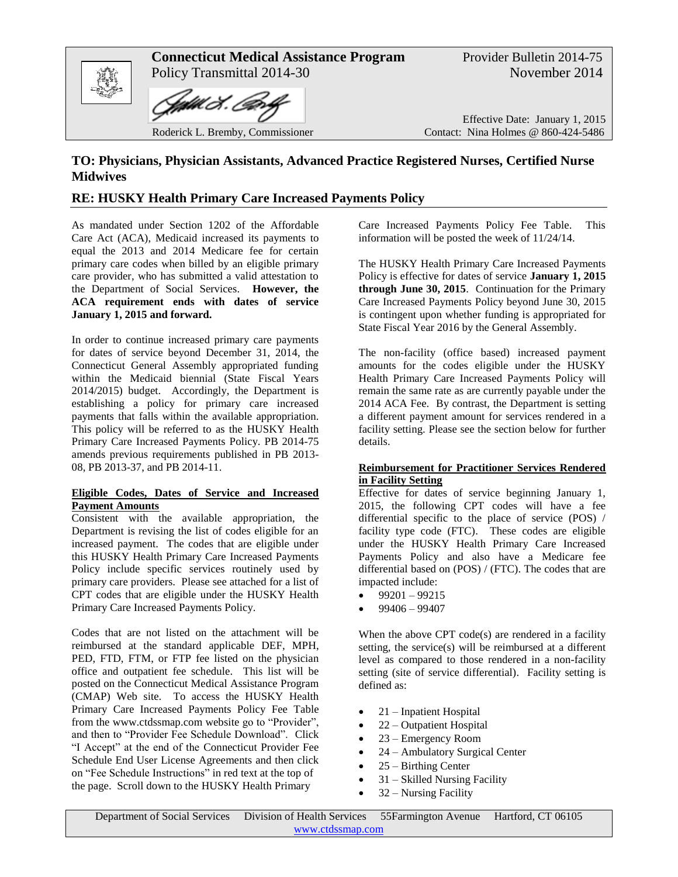

# **TO: Physicians, Physician Assistants, Advanced Practice Registered Nurses, Certified Nurse Midwives**

# **RE: HUSKY Health Primary Care Increased Payments Policy**

As mandated under Section 1202 of the Affordable Care Act (ACA), Medicaid increased its payments to equal the 2013 and 2014 Medicare fee for certain primary care codes when billed by an eligible primary care provider, who has submitted a valid attestation to the Department of Social Services. **However, the ACA requirement ends with dates of service January 1, 2015 and forward.** 

In order to continue increased primary care payments for dates of service beyond December 31, 2014, the Connecticut General Assembly appropriated funding within the Medicaid biennial (State Fiscal Years 2014/2015) budget. Accordingly, the Department is establishing a policy for primary care increased payments that falls within the available appropriation. This policy will be referred to as the HUSKY Health Primary Care Increased Payments Policy. PB 2014-75 amends previous requirements published in PB 2013- 08, PB 2013-37, and PB 2014-11.

#### **Eligible Codes, Dates of Service and Increased Payment Amounts**

Consistent with the available appropriation, the Department is revising the list of codes eligible for an increased payment. The codes that are eligible under this HUSKY Health Primary Care Increased Payments Policy include specific services routinely used by primary care providers. Please see attached for a list of CPT codes that are eligible under the HUSKY Health Primary Care Increased Payments Policy.

Codes that are not listed on the attachment will be reimbursed at the standard applicable DEF, MPH, PED, FTD, FTM, or FTP fee listed on the physician office and outpatient fee schedule. This list will be posted on the Connecticut Medical Assistance Program (CMAP) Web site. To access the HUSKY Health Primary Care Increased Payments Policy Fee Table from the www.ctdssmap.com website go to "Provider", and then to "Provider Fee Schedule Download". Click "I Accept" at the end of the Connecticut Provider Fee Schedule End User License Agreements and then click on "Fee Schedule Instructions" in red text at the top of the page. Scroll down to the HUSKY Health Primary

Care Increased Payments Policy Fee Table. This information will be posted the week of 11/24/14.

The HUSKY Health Primary Care Increased Payments Policy is effective for dates of service **January 1, 2015 through June 30, 2015**. Continuation for the Primary Care Increased Payments Policy beyond June 30, 2015 is contingent upon whether funding is appropriated for State Fiscal Year 2016 by the General Assembly.

The non-facility (office based) increased payment amounts for the codes eligible under the HUSKY Health Primary Care Increased Payments Policy will remain the same rate as are currently payable under the 2014 ACA Fee. By contrast, the Department is setting a different payment amount for services rendered in a facility setting. Please see the section below for further details.

## **Reimbursement for Practitioner Services Rendered in Facility Setting**

Effective for dates of service beginning January 1, 2015, the following CPT codes will have a fee differential specific to the place of service (POS) / facility type code (FTC). These codes are eligible under the HUSKY Health Primary Care Increased Payments Policy and also have a Medicare fee differential based on (POS) / (FTC). The codes that are impacted include:

- $-99201 99215$
- 99406 99407

When the above CPT code(s) are rendered in a facility setting, the service(s) will be reimbursed at a different level as compared to those rendered in a non-facility setting (site of service differential). Facility setting is defined as:

- $\bullet$  21 Inpatient Hospital
- 22 Outpatient Hospital
- 23 Emergency Room
- 24 Ambulatory Surgical Center
- 25 Birthing Center
- 31 Skilled Nursing Facility
- 32 Nursing Facility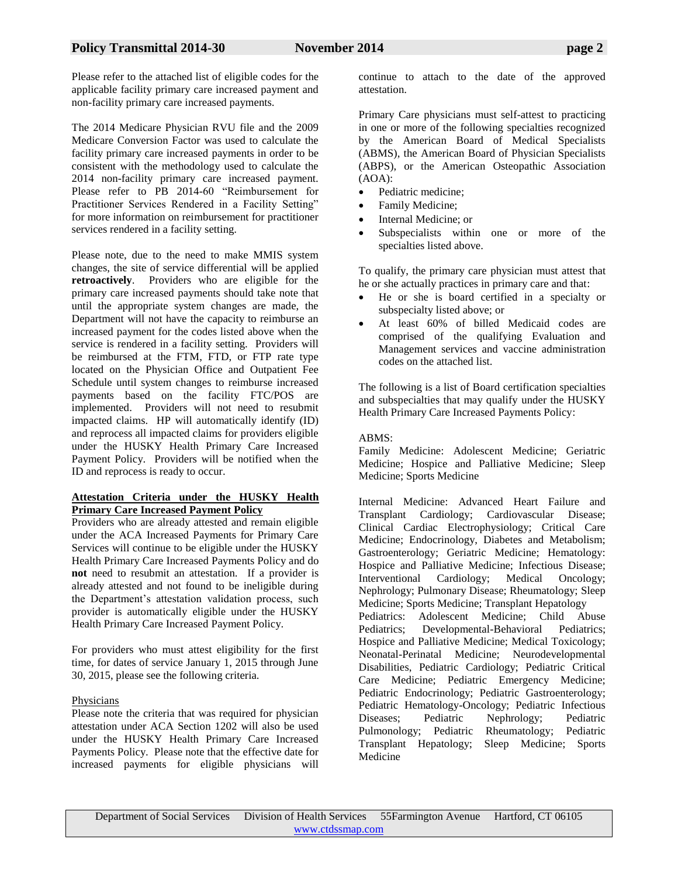Please refer to the attached list of eligible codes for the applicable facility primary care increased payment and non-facility primary care increased payments.

The 2014 Medicare Physician RVU file and the 2009 Medicare Conversion Factor was used to calculate the facility primary care increased payments in order to be consistent with the methodology used to calculate the 2014 non-facility primary care increased payment. Please refer to PB 2014-60 "Reimbursement for Practitioner Services Rendered in a Facility Setting" for more information on reimbursement for practitioner services rendered in a facility setting.

Please note, due to the need to make MMIS system changes, the site of service differential will be applied **retroactively**. Providers who are eligible for the primary care increased payments should take note that until the appropriate system changes are made, the Department will not have the capacity to reimburse an increased payment for the codes listed above when the service is rendered in a facility setting. Providers will be reimbursed at the FTM, FTD, or FTP rate type located on the Physician Office and Outpatient Fee Schedule until system changes to reimburse increased payments based on the facility FTC/POS are implemented. Providers will not need to resubmit impacted claims. HP will automatically identify (ID) and reprocess all impacted claims for providers eligible under the HUSKY Health Primary Care Increased Payment Policy. Providers will be notified when the ID and reprocess is ready to occur.

## **Attestation Criteria under the HUSKY Health Primary Care Increased Payment Policy**

Providers who are already attested and remain eligible under the ACA Increased Payments for Primary Care Services will continue to be eligible under the HUSKY Health Primary Care Increased Payments Policy and do **not** need to resubmit an attestation. If a provider is already attested and not found to be ineligible during the Department's attestation validation process, such provider is automatically eligible under the HUSKY Health Primary Care Increased Payment Policy.

For providers who must attest eligibility for the first time, for dates of service January 1, 2015 through June 30, 2015, please see the following criteria.

# **Physicians**

Please note the criteria that was required for physician attestation under ACA Section 1202 will also be used under the HUSKY Health Primary Care Increased Payments Policy. Please note that the effective date for increased payments for eligible physicians will

continue to attach to the date of the approved attestation.

Primary Care physicians must self-attest to practicing in one or more of the following specialties recognized by the American Board of Medical Specialists (ABMS), the American Board of Physician Specialists (ABPS), or the American Osteopathic Association  $(AOA)$ :

- Pediatric medicine;
- Family Medicine;
- Internal Medicine; or
- Subspecialists within one or more of the specialties listed above.

To qualify, the primary care physician must attest that he or she actually practices in primary care and that:

- He or she is board certified in a specialty or subspecialty listed above; or
- At least 60% of billed Medicaid codes are comprised of the qualifying Evaluation and Management services and vaccine administration codes on the attached list.

The following is a list of Board certification specialties and subspecialties that may qualify under the HUSKY Health Primary Care Increased Payments Policy:

## ABMS:

Family Medicine: Adolescent Medicine; Geriatric Medicine; Hospice and Palliative Medicine; Sleep Medicine; Sports Medicine

Internal Medicine: Advanced Heart Failure and Transplant Cardiology; Cardiovascular Disease; Clinical Cardiac Electrophysiology; Critical Care Medicine; Endocrinology, Diabetes and Metabolism; Gastroenterology; Geriatric Medicine; Hematology: Hospice and Palliative Medicine; Infectious Disease; Interventional Cardiology; Medical Oncology; Nephrology; Pulmonary Disease; Rheumatology; Sleep Medicine; Sports Medicine; Transplant Hepatology Pediatrics: Adolescent Medicine; Child Abuse Pediatrics; Developmental-Behavioral Pediatrics; Hospice and Palliative Medicine; Medical Toxicology; Neonatal-Perinatal Medicine; Neurodevelopmental Disabilities, Pediatric Cardiology; Pediatric Critical Care Medicine; Pediatric Emergency Medicine; Pediatric Endocrinology; Pediatric Gastroenterology; Pediatric Hematology-Oncology; Pediatric Infectious Diseases; Pediatric Nephrology; Pediatric Pulmonology; Pediatric Rheumatology; Pediatric Transplant Hepatology; Sleep Medicine; Sports Medicine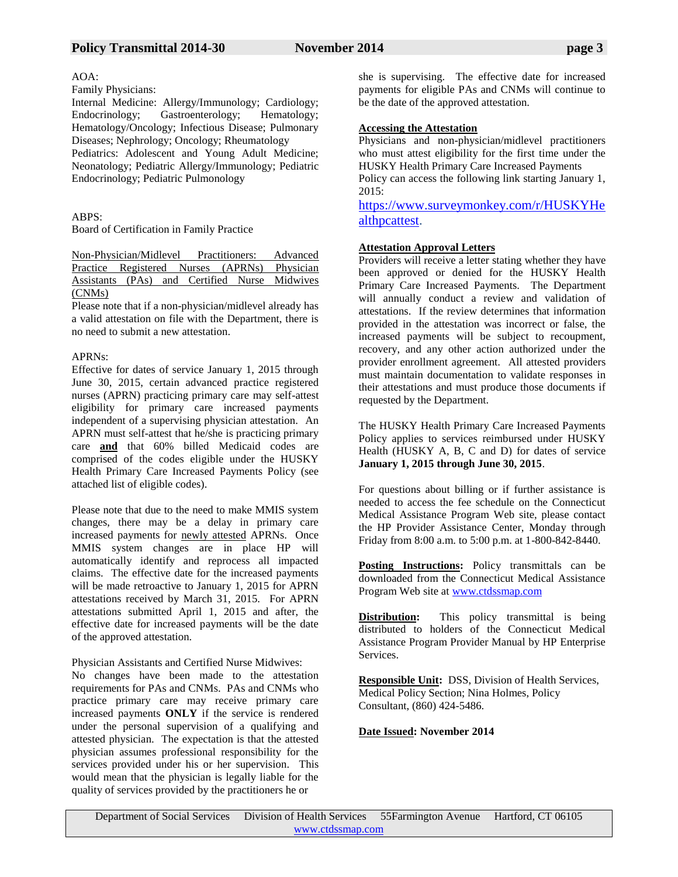# Policy Transmittal 2014-30 November 2014 **page 3**

#### AOA:

Family Physicians:

Internal Medicine: Allergy/Immunology; Cardiology; Endocrinology; Gastroenterology; Hematology; Hematology/Oncology; Infectious Disease; Pulmonary Diseases; Nephrology; Oncology; Rheumatology Pediatrics: Adolescent and Young Adult Medicine; Neonatology; Pediatric Allergy/Immunology; Pediatric Endocrinology; Pediatric Pulmonology

# $ABPS$

Board of Certification in Family Practice

Non-Physician/Midlevel Practitioners: Advanced Practice Registered Nurses (APRNs) Physician Assistants (PAs) and Certified Nurse Midwives (CNMs)

Please note that if a non-physician/midlevel already has a valid attestation on file with the Department, there is no need to submit a new attestation.

# APRNs:

Effective for dates of service January 1, 2015 through June 30, 2015, certain advanced practice registered nurses (APRN) practicing primary care may self-attest eligibility for primary care increased payments independent of a supervising physician attestation. An APRN must self-attest that he/she is practicing primary care **and** that 60% billed Medicaid codes are comprised of the codes eligible under the HUSKY Health Primary Care Increased Payments Policy (see attached list of eligible codes).

Please note that due to the need to make MMIS system changes, there may be a delay in primary care increased payments for newly attested APRNs. Once MMIS system changes are in place HP will automatically identify and reprocess all impacted claims. The effective date for the increased payments will be made retroactive to January 1, 2015 for APRN attestations received by March 31, 2015. For APRN attestations submitted April 1, 2015 and after, the effective date for increased payments will be the date of the approved attestation.

Physician Assistants and Certified Nurse Midwives:

No changes have been made to the attestation requirements for PAs and CNMs. PAs and CNMs who practice primary care may receive primary care increased payments **ONLY** if the service is rendered under the personal supervision of a qualifying and attested physician. The expectation is that the attested physician assumes professional responsibility for the services provided under his or her supervision. This would mean that the physician is legally liable for the quality of services provided by the practitioners he or

she is supervising. The effective date for increased payments for eligible PAs and CNMs will continue to be the date of the approved attestation.

# **Accessing the Attestation**

Physicians and non-physician/midlevel practitioners who must attest eligibility for the first time under the HUSKY Health Primary Care Increased Payments

Policy can access the following link starting January 1, 2015:

[https://www.surveymonkey.com/r/HUSKYHe](https://www.surveymonkey.com/r/HUSKYHealthpcattest) [althpcattest.](https://www.surveymonkey.com/r/HUSKYHealthpcattest)

## **Attestation Approval Letters**

Providers will receive a letter stating whether they have been approved or denied for the HUSKY Health Primary Care Increased Payments. The Department will annually conduct a review and validation of attestations. If the review determines that information provided in the attestation was incorrect or false, the increased payments will be subject to recoupment, recovery, and any other action authorized under the provider enrollment agreement. All attested providers must maintain documentation to validate responses in their attestations and must produce those documents if requested by the Department.

The HUSKY Health Primary Care Increased Payments Policy applies to services reimbursed under HUSKY Health (HUSKY A, B, C and D) for dates of service **January 1, 2015 through June 30, 2015**.

For questions about billing or if further assistance is needed to access the fee schedule on the Connecticut Medical Assistance Program Web site, please contact the HP Provider Assistance Center, Monday through Friday from 8:00 a.m. to 5:00 p.m. at 1-800-842-8440.

**Posting Instructions:** Policy transmittals can be downloaded from the Connecticut Medical Assistance Program Web site at [www.ctdssmap.com](http://www.ctdssmap.com/)

**Distribution:** This policy transmittal is being distributed to holders of the Connecticut Medical Assistance Program Provider Manual by HP Enterprise Services.

**Responsible Unit:** DSS, Division of Health Services, Medical Policy Section; Nina Holmes, Policy Consultant, (860) 424-5486.

## **Date Issued: November 2014**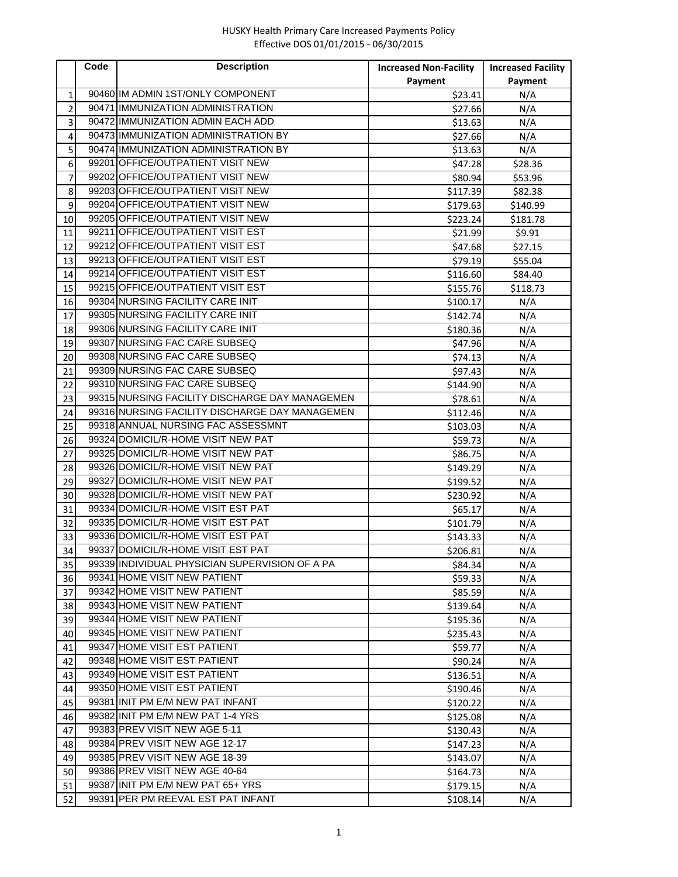# HUSKY Health Primary Care Increased Payments Policy Effective DOS 01/01/2015 - 06/30/2015

|                | Code | <b>Description</b>                             | <b>Increased Non-Facility</b> | <b>Increased Facility</b> |
|----------------|------|------------------------------------------------|-------------------------------|---------------------------|
|                |      |                                                | Payment                       | Payment                   |
| 1              |      | 90460 IM ADMIN 1ST/ONLY COMPONENT              | \$23.41                       | N/A                       |
| $\overline{2}$ |      | 90471 IMMUNIZATION ADMINISTRATION              | \$27.66                       | N/A                       |
| 3              |      | 90472 IMMUNIZATION ADMIN EACH ADD              | \$13.63                       | N/A                       |
| 4              |      | 90473 IMMUNIZATION ADMINISTRATION BY           | \$27.66                       | N/A                       |
| 5              |      | 90474 IMMUNIZATION ADMINISTRATION BY           | \$13.63                       | N/A                       |
| 6              |      | 99201 OFFICE/OUTPATIENT VISIT NEW              | \$47.28                       | \$28.36                   |
| 7              |      | 99202 OFFICE/OUTPATIENT VISIT NEW              | \$80.94                       | \$53.96                   |
| 8              |      | 99203 OFFICE/OUTPATIENT VISIT NEW              | \$117.39                      | \$82.38                   |
| 9              |      | 99204 OFFICE/OUTPATIENT VISIT NEW              | \$179.63                      | \$140.99                  |
| 10             |      | 99205 OFFICE/OUTPATIENT VISIT NEW              | \$223.24                      | \$181.78                  |
| 11             |      | 99211 OFFICE/OUTPATIENT VISIT EST              | \$21.99                       | \$9.91                    |
| 12             |      | 99212 OFFICE/OUTPATIENT VISIT EST              | \$47.68                       | \$27.15                   |
| 13             |      | 99213 OFFICE/OUTPATIENT VISIT EST              | \$79.19                       | \$55.04                   |
| 14             |      | 99214 OFFICE/OUTPATIENT VISIT EST              | \$116.60                      | \$84.40                   |
| 15             |      | 99215 OFFICE/OUTPATIENT VISIT EST              | \$155.76                      | \$118.73                  |
| 16             |      | 99304 NURSING FACILITY CARE INIT               | \$100.17                      | N/A                       |
| 17             |      | 99305 NURSING FACILITY CARE INIT               | \$142.74                      | N/A                       |
| 18             |      | 99306 NURSING FACILITY CARE INIT               | \$180.36                      | N/A                       |
| 19             |      | 99307 NURSING FAC CARE SUBSEQ                  | \$47.96                       | N/A                       |
| 20             |      | 99308 NURSING FAC CARE SUBSEQ                  | \$74.13                       | N/A                       |
| 21             |      | 99309 NURSING FAC CARE SUBSEQ                  | \$97.43                       | N/A                       |
| 22             |      | 99310 NURSING FAC CARE SUBSEQ                  | \$144.90                      | N/A                       |
| 23             |      | 99315 NURSING FACILITY DISCHARGE DAY MANAGEMEN | \$78.61                       | N/A                       |
| 24             |      | 99316 NURSING FACILITY DISCHARGE DAY MANAGEMEN | \$112.46                      | N/A                       |
| 25             |      | 99318 ANNUAL NURSING FAC ASSESSMNT             | \$103.03                      | N/A                       |
| 26             |      | 99324 DOMICIL/R-HOME VISIT NEW PAT             | \$59.73                       | N/A                       |
| 27             |      | 99325 DOMICIL/R-HOME VISIT NEW PAT             | \$86.75                       | N/A                       |
| 28             |      | 99326 DOMICIL/R-HOME VISIT NEW PAT             | \$149.29                      | N/A                       |
| 29             |      | 99327 DOMICIL/R-HOME VISIT NEW PAT             | \$199.52                      | N/A                       |
| 30             |      | 99328 DOMICIL/R-HOME VISIT NEW PAT             | \$230.92                      | N/A                       |
| 31             |      | 99334 DOMICIL/R-HOME VISIT EST PAT             | \$65.17                       | N/A                       |
| 32             |      | 99335 DOMICIL/R-HOME VISIT EST PAT             | \$101.79                      | N/A                       |
| 33             |      | 99336 DOMICIL/R-HOME VISIT EST PAT             | \$143.33                      | N/A                       |
| 34             |      | 99337 DOMICIL/R-HOME VISIT EST PAT             | \$206.81                      | N/A                       |
| 35             |      | 99339 INDIVIDUAL PHYSICIAN SUPERVISION OF A PA | \$84.34                       | N/A                       |
| 36             |      | 99341 HOME VISIT NEW PATIENT                   | \$59.33                       | N/A                       |
| 37             |      | 99342 HOME VISIT NEW PATIENT                   | \$85.59                       | N/A                       |
| 38             |      | 99343 HOME VISIT NEW PATIENT                   | \$139.64                      | N/A                       |
| 39             |      | 99344 HOME VISIT NEW PATIENT                   | \$195.36                      | N/A                       |
| 40             |      | 99345 HOME VISIT NEW PATIENT                   | \$235.43                      | N/A                       |
| 41             |      | 99347 HOME VISIT EST PATIENT                   | \$59.77                       | N/A                       |
| 42             |      | 99348 HOME VISIT EST PATIENT                   | \$90.24                       | N/A                       |
| 43             |      | 99349 HOME VISIT EST PATIENT                   | \$136.51                      | N/A                       |
| 44             |      | 99350 HOME VISIT EST PATIENT                   | \$190.46                      | N/A                       |
| 45             |      | 99381 INIT PM E/M NEW PAT INFANT               | \$120.22                      | N/A                       |
| 46             |      | 99382 INIT PM E/M NEW PAT 1-4 YRS              | \$125.08                      | N/A                       |
| 47             |      | 99383 PREV VISIT NEW AGE 5-11                  | \$130.43                      | N/A                       |
| 48             |      | 99384 PREV VISIT NEW AGE 12-17                 | \$147.23                      | N/A                       |
| 49             |      | 99385 PREV VISIT NEW AGE 18-39                 | \$143.07                      | N/A                       |
| 50             |      | 99386 PREV VISIT NEW AGE 40-64                 | \$164.73                      | N/A                       |
| 51             |      | 99387 INIT PM E/M NEW PAT 65+ YRS              | \$179.15                      | N/A                       |
| 52             |      | 99391 PER PM REEVAL EST PAT INFANT             | \$108.14                      | N/A                       |